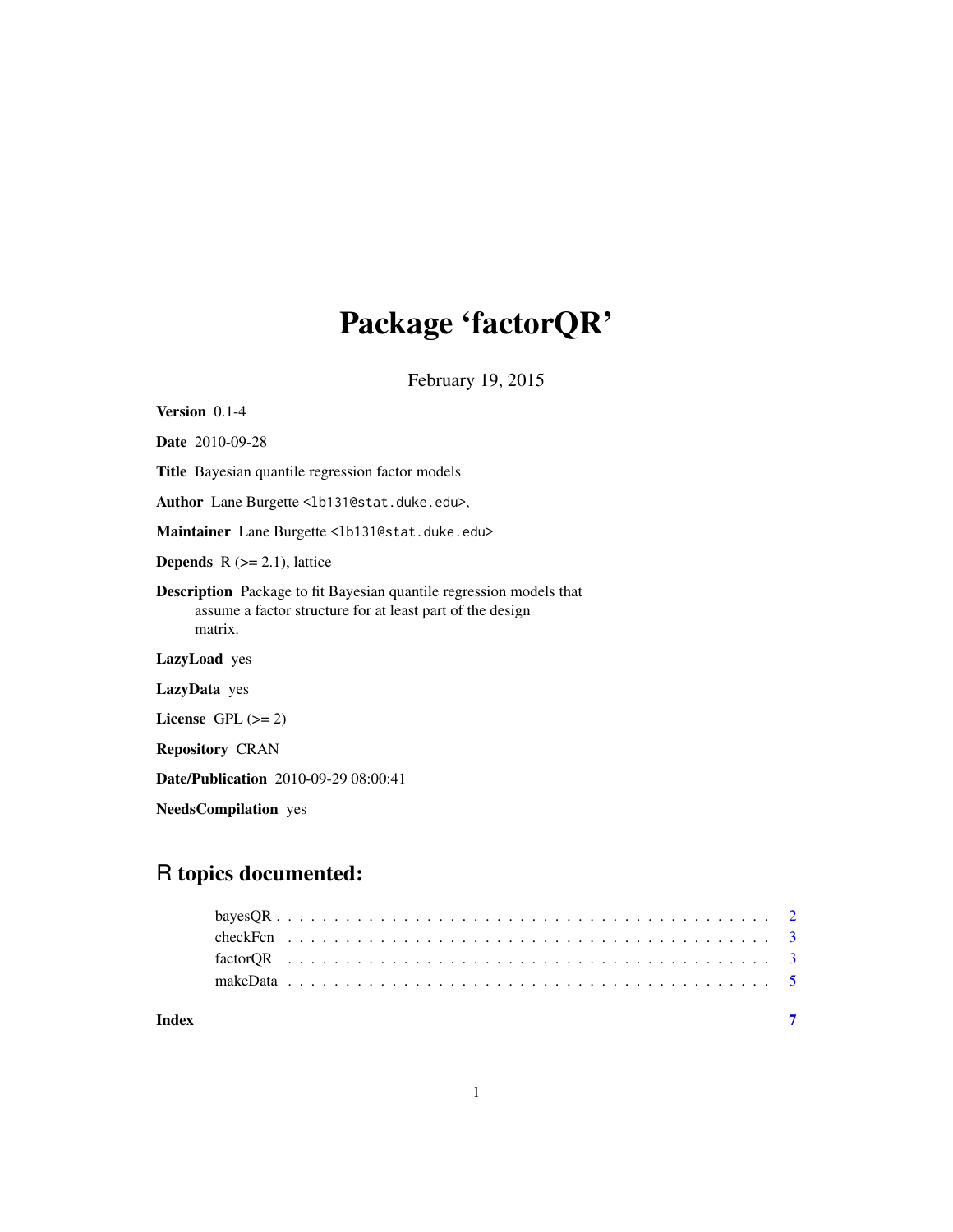## Package 'factorQR'

February 19, 2015

| Version $0.1-4$                                                                                                                                    |
|----------------------------------------------------------------------------------------------------------------------------------------------------|
| <b>Date</b> 2010-09-28                                                                                                                             |
| Title Bayesian quantile regression factor models                                                                                                   |
| Author Lane Burgette <1b131@stat.duke.edu>,                                                                                                        |
| Maintainer Lane Burgette <1b131@stat.duke.edu>                                                                                                     |
| <b>Depends</b> $R (= 2.1)$ , lattice                                                                                                               |
| <b>Description</b> Package to fit Bayesian quantile regression models that<br>assume a factor structure for at least part of the design<br>matrix. |
| LazyLoad yes                                                                                                                                       |
| LazyData yes                                                                                                                                       |
| License GPL $(>= 2)$                                                                                                                               |
| <b>Repository CRAN</b>                                                                                                                             |
| <b>Date/Publication</b> 2010-09-29 08:00:41                                                                                                        |
| <b>NeedsCompilation</b> yes                                                                                                                        |

### R topics documented:

| Index |  |  |  |  |  |  |  |  |  |  |  |  |  |  |  |  |  |  |  |  |  |  |  |
|-------|--|--|--|--|--|--|--|--|--|--|--|--|--|--|--|--|--|--|--|--|--|--|--|
|       |  |  |  |  |  |  |  |  |  |  |  |  |  |  |  |  |  |  |  |  |  |  |  |
|       |  |  |  |  |  |  |  |  |  |  |  |  |  |  |  |  |  |  |  |  |  |  |  |
|       |  |  |  |  |  |  |  |  |  |  |  |  |  |  |  |  |  |  |  |  |  |  |  |
|       |  |  |  |  |  |  |  |  |  |  |  |  |  |  |  |  |  |  |  |  |  |  |  |
|       |  |  |  |  |  |  |  |  |  |  |  |  |  |  |  |  |  |  |  |  |  |  |  |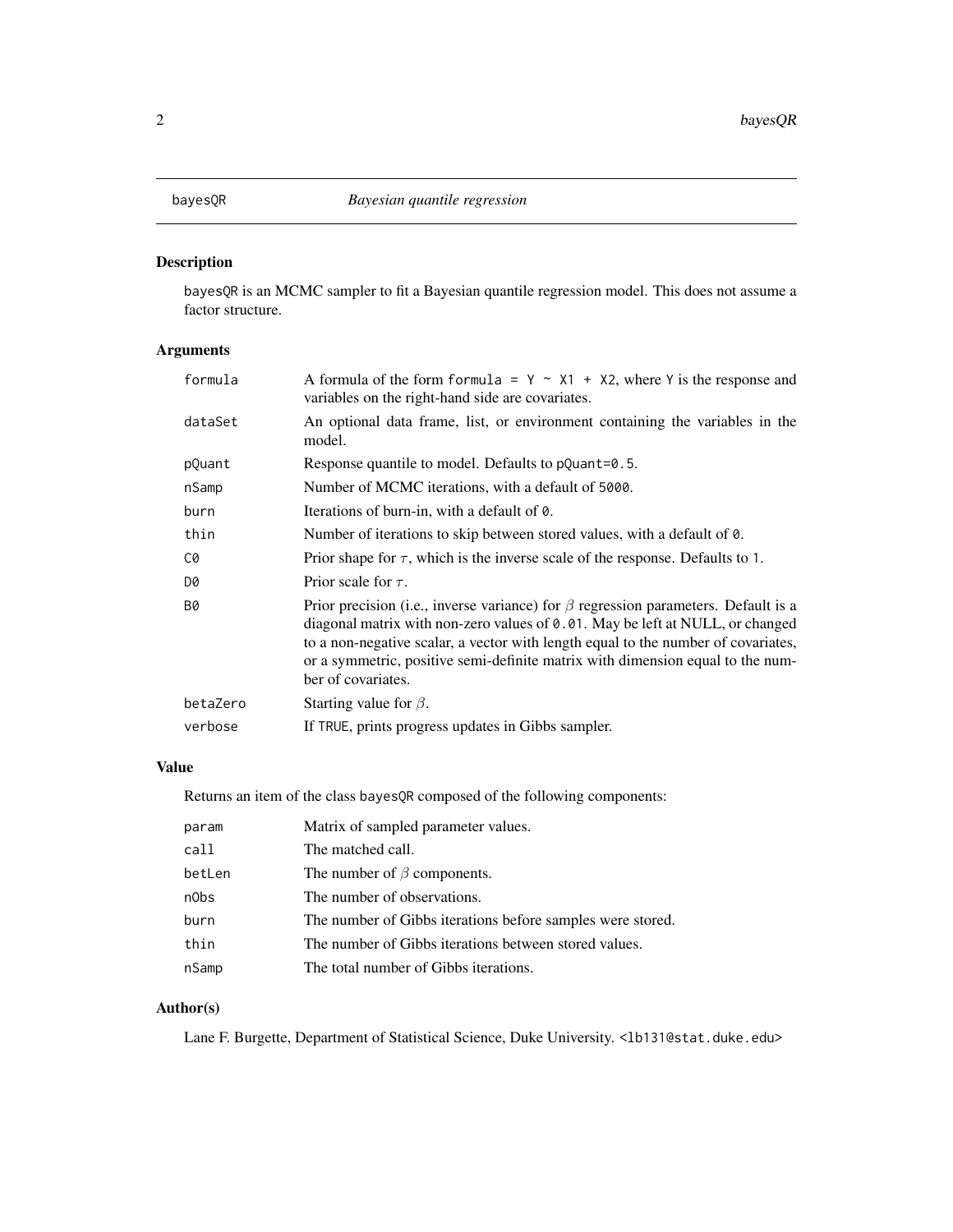<span id="page-1-0"></span>

#### Description

bayesQR is an MCMC sampler to fit a Bayesian quantile regression model. This does not assume a factor structure.

#### Arguments

| A formula of the form formula = $Y \sim X1 + X2$ , where Y is the response and<br>variables on the right-hand side are covariates.                                                                                                                                                                                                                                              |
|---------------------------------------------------------------------------------------------------------------------------------------------------------------------------------------------------------------------------------------------------------------------------------------------------------------------------------------------------------------------------------|
| An optional data frame, list, or environment containing the variables in the<br>model.                                                                                                                                                                                                                                                                                          |
| Response quantile to model. Defaults to pQuant=0.5.                                                                                                                                                                                                                                                                                                                             |
| Number of MCMC iterations, with a default of 5000.                                                                                                                                                                                                                                                                                                                              |
| Iterations of burn-in, with a default of 0.                                                                                                                                                                                                                                                                                                                                     |
| Number of iterations to skip between stored values, with a default of 0.                                                                                                                                                                                                                                                                                                        |
| Prior shape for $\tau$ , which is the inverse scale of the response. Defaults to 1.                                                                                                                                                                                                                                                                                             |
| Prior scale for $\tau$ .                                                                                                                                                                                                                                                                                                                                                        |
| Prior precision (i.e., inverse variance) for $\beta$ regression parameters. Default is a<br>diagonal matrix with non-zero values of $\theta$ . 01. May be left at NULL, or changed<br>to a non-negative scalar, a vector with length equal to the number of covariates,<br>or a symmetric, positive semi-definite matrix with dimension equal to the num-<br>ber of covariates. |
| Starting value for $\beta$ .                                                                                                                                                                                                                                                                                                                                                    |
| If TRUE, prints progress updates in Gibbs sampler.                                                                                                                                                                                                                                                                                                                              |
|                                                                                                                                                                                                                                                                                                                                                                                 |

#### Value

Returns an item of the class bayesQR composed of the following components:

| param  | Matrix of sampled parameter values.                        |
|--------|------------------------------------------------------------|
| call   | The matched call.                                          |
| betLen | The number of $\beta$ components.                          |
| n0bs   | The number of observations.                                |
| burn   | The number of Gibbs iterations before samples were stored. |
| thin   | The number of Gibbs iterations between stored values.      |
| nSamp  | The total number of Gibbs iterations.                      |

#### Author(s)

Lane F. Burgette, Department of Statistical Science, Duke University. <1b131@stat.duke.edu>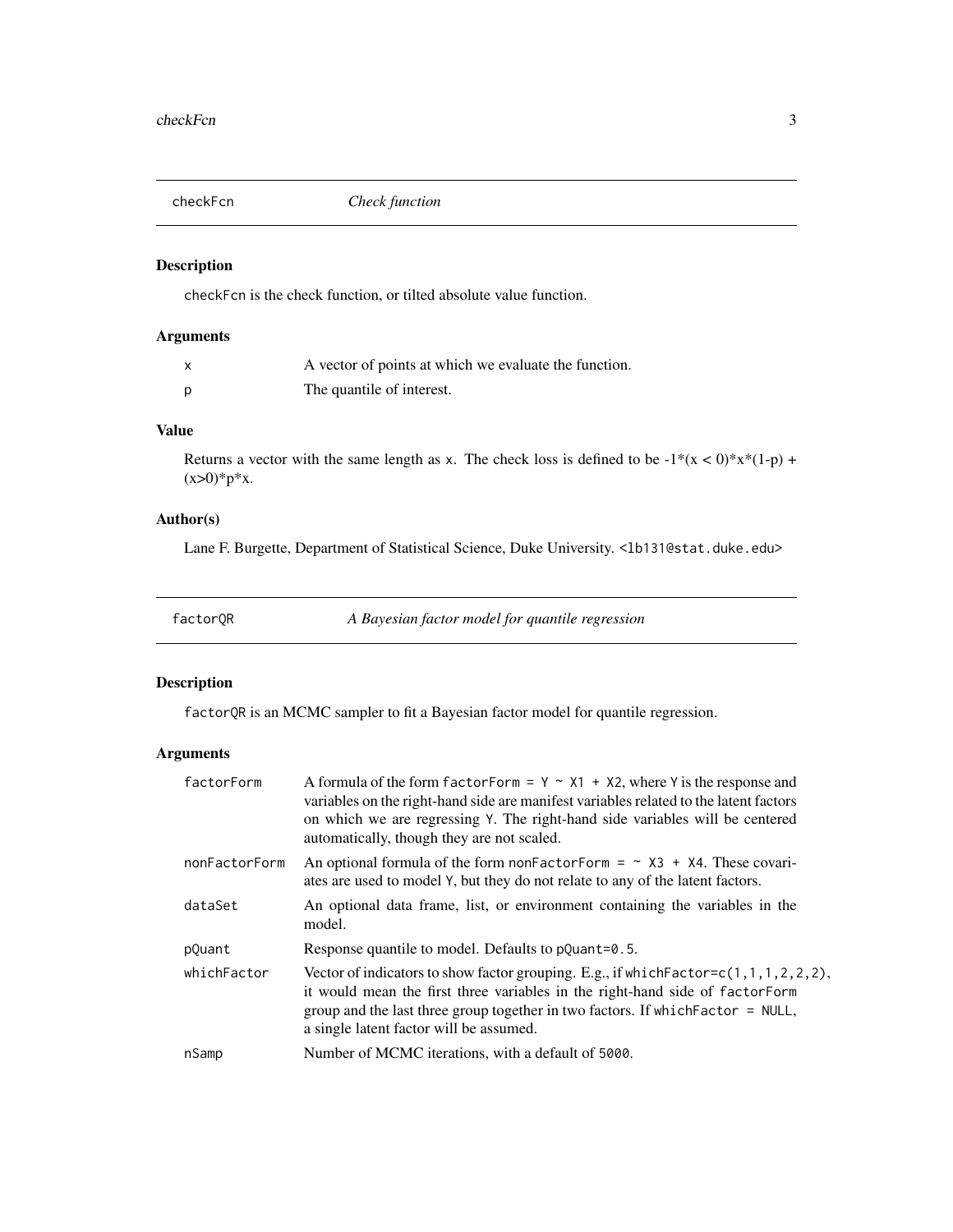<span id="page-2-0"></span>

#### Description

checkFcn is the check function, or tilted absolute value function.

#### Arguments

| x | A vector of points at which we evaluate the function. |
|---|-------------------------------------------------------|
| p | The quantile of interest.                             |

#### Value

Returns a vector with the same length as x. The check loss is defined to be  $-1*(x < 0)*x*(1-p)$  +  $(x>0)*p*x.$ 

#### Author(s)

Lane F. Burgette, Department of Statistical Science, Duke University. <1b131@stat.duke.edu>

factorQR *A Bayesian factor model for quantile regression*

#### Description

factorQR is an MCMC sampler to fit a Bayesian factor model for quantile regression.

#### Arguments

| factorForm    | A formula of the form factor Form = $Y \sim X1 + X2$ , where Y is the response and<br>variables on the right-hand side are manifest variables related to the latent factors<br>on which we are regressing Y. The right-hand side variables will be centered<br>automatically, though they are not scaled.      |
|---------------|----------------------------------------------------------------------------------------------------------------------------------------------------------------------------------------------------------------------------------------------------------------------------------------------------------------|
| nonFactorForm | An optional formula of the form non-Factor-Form = $\sim$ X3 + X4. These covari-<br>ates are used to model Y, but they do not relate to any of the latent factors.                                                                                                                                              |
| dataSet       | An optional data frame, list, or environment containing the variables in the<br>model.                                                                                                                                                                                                                         |
| pQuant        | Response quantile to model. Defaults to pQuant=0.5.                                                                                                                                                                                                                                                            |
| whichFactor   | Vector of indicators to show factor grouping. E.g., if which Factor= $c(1, 1, 1, 2, 2, 2)$ ,<br>it would mean the first three variables in the right-hand side of factor Form<br>group and the last three group together in two factors. If which $Factor = NULL$ ,<br>a single latent factor will be assumed. |
| nSamp         | Number of MCMC iterations, with a default of 5000.                                                                                                                                                                                                                                                             |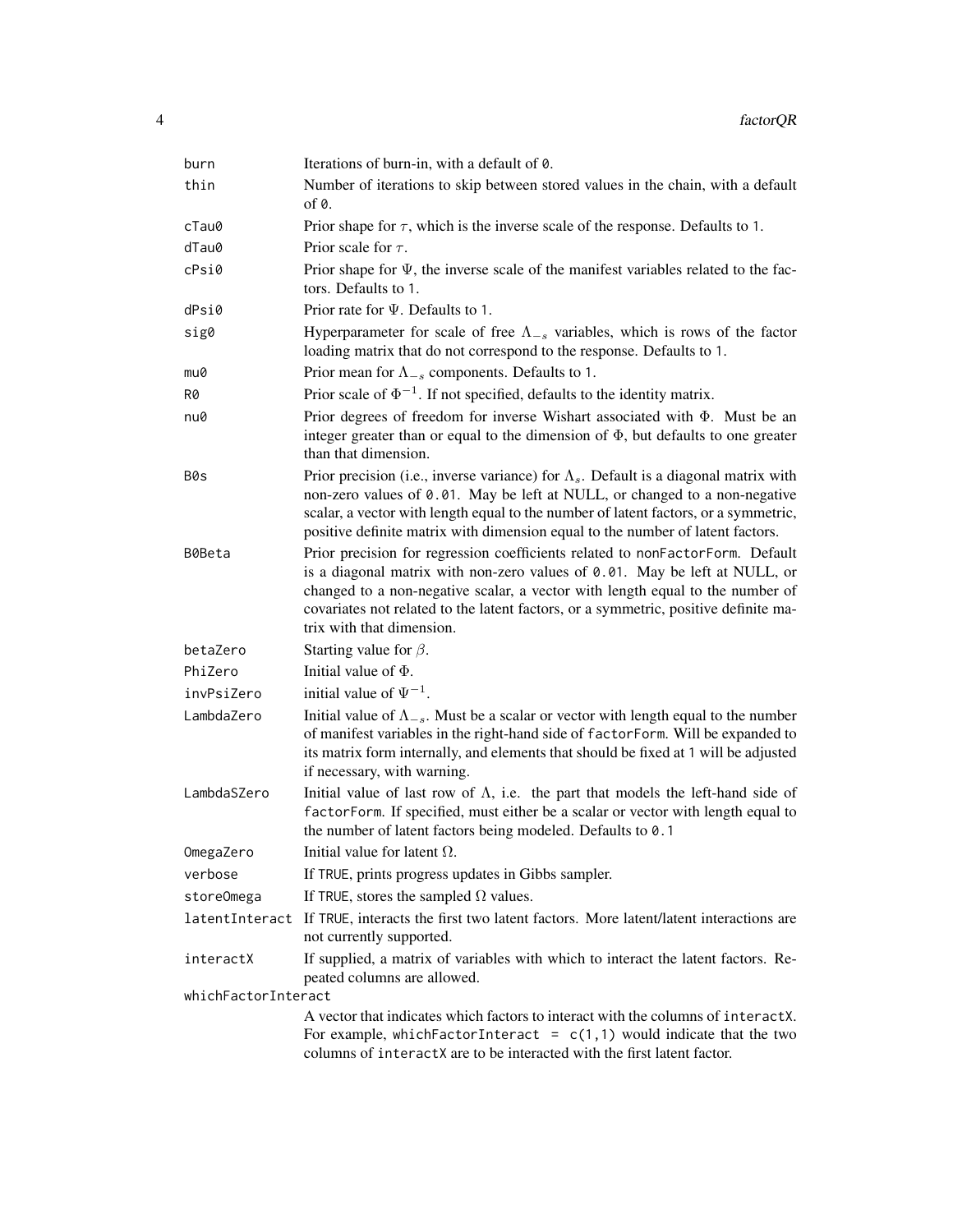| burn                | Iterations of burn-in, with a default of 0.                                                                                                                                                                                                                                                                                                                      |
|---------------------|------------------------------------------------------------------------------------------------------------------------------------------------------------------------------------------------------------------------------------------------------------------------------------------------------------------------------------------------------------------|
| thin                | Number of iterations to skip between stored values in the chain, with a default<br>of $\theta$ .                                                                                                                                                                                                                                                                 |
| cTau0               | Prior shape for $\tau$ , which is the inverse scale of the response. Defaults to 1.                                                                                                                                                                                                                                                                              |
| dTau0               | Prior scale for $\tau$ .                                                                                                                                                                                                                                                                                                                                         |
| cPsi@               | Prior shape for $\Psi$ , the inverse scale of the manifest variables related to the fac-<br>tors. Defaults to 1.                                                                                                                                                                                                                                                 |
| dPsi0               | Prior rate for $\Psi$ . Defaults to 1.                                                                                                                                                                                                                                                                                                                           |
| sig0                | Hyperparameter for scale of free $\Lambda_{-s}$ variables, which is rows of the factor<br>loading matrix that do not correspond to the response. Defaults to 1.                                                                                                                                                                                                  |
| mu0                 | Prior mean for $\Lambda_{-s}$ components. Defaults to 1.                                                                                                                                                                                                                                                                                                         |
| R0                  | Prior scale of $\Phi^{-1}$ . If not specified, defaults to the identity matrix.                                                                                                                                                                                                                                                                                  |
| nu0                 | Prior degrees of freedom for inverse Wishart associated with $\Phi$ . Must be an<br>integer greater than or equal to the dimension of $\Phi$ , but defaults to one greater<br>than that dimension.                                                                                                                                                               |
| B0s                 | Prior precision (i.e., inverse variance) for $\Lambda_s$ . Default is a diagonal matrix with<br>non-zero values of 0.01. May be left at NULL, or changed to a non-negative<br>scalar, a vector with length equal to the number of latent factors, or a symmetric,<br>positive definite matrix with dimension equal to the number of latent factors.              |
| B0Beta              | Prior precision for regression coefficients related to nonFactorForm. Default<br>is a diagonal matrix with non-zero values of 0.01. May be left at NULL, or<br>changed to a non-negative scalar, a vector with length equal to the number of<br>covariates not related to the latent factors, or a symmetric, positive definite ma-<br>trix with that dimension. |
| betaZero            | Starting value for $\beta$ .                                                                                                                                                                                                                                                                                                                                     |
| PhiZero             | Initial value of $\Phi$ .                                                                                                                                                                                                                                                                                                                                        |
| invPsiZero          | initial value of $\Psi^{-1}$ .                                                                                                                                                                                                                                                                                                                                   |
| LambdaZero          | Initial value of $\Lambda_{-s}$ . Must be a scalar or vector with length equal to the number<br>of manifest variables in the right-hand side of factorForm. Will be expanded to<br>its matrix form internally, and elements that should be fixed at 1 will be adjusted<br>if necessary, with warning.                                                            |
| LambdaSZero         | Initial value of last row of $\Lambda$ , i.e. the part that models the left-hand side of<br>factorForm. If specified, must either be a scalar or vector with length equal to<br>the number of latent factors being modeled. Defaults to 0.1                                                                                                                      |
| OmegaZero           | Initial value for latent $\Omega$ .                                                                                                                                                                                                                                                                                                                              |
| verbose             | If TRUE, prints progress updates in Gibbs sampler.                                                                                                                                                                                                                                                                                                               |
| storeOmega          | If TRUE, stores the sampled $\Omega$ values.                                                                                                                                                                                                                                                                                                                     |
|                     | latentInteract If TRUE, interacts the first two latent factors. More latent/latent interactions are<br>not currently supported.                                                                                                                                                                                                                                  |
| interactX           | If supplied, a matrix of variables with which to interact the latent factors. Re-<br>peated columns are allowed.                                                                                                                                                                                                                                                 |
| whichFactorInteract |                                                                                                                                                                                                                                                                                                                                                                  |
|                     | A vector that indicates which factors to interact with the columns of interactX.<br>For example, which Factor Interact = $c(1,1)$ would indicate that the two<br>columns of interactX are to be interacted with the first latent factor.                                                                                                                         |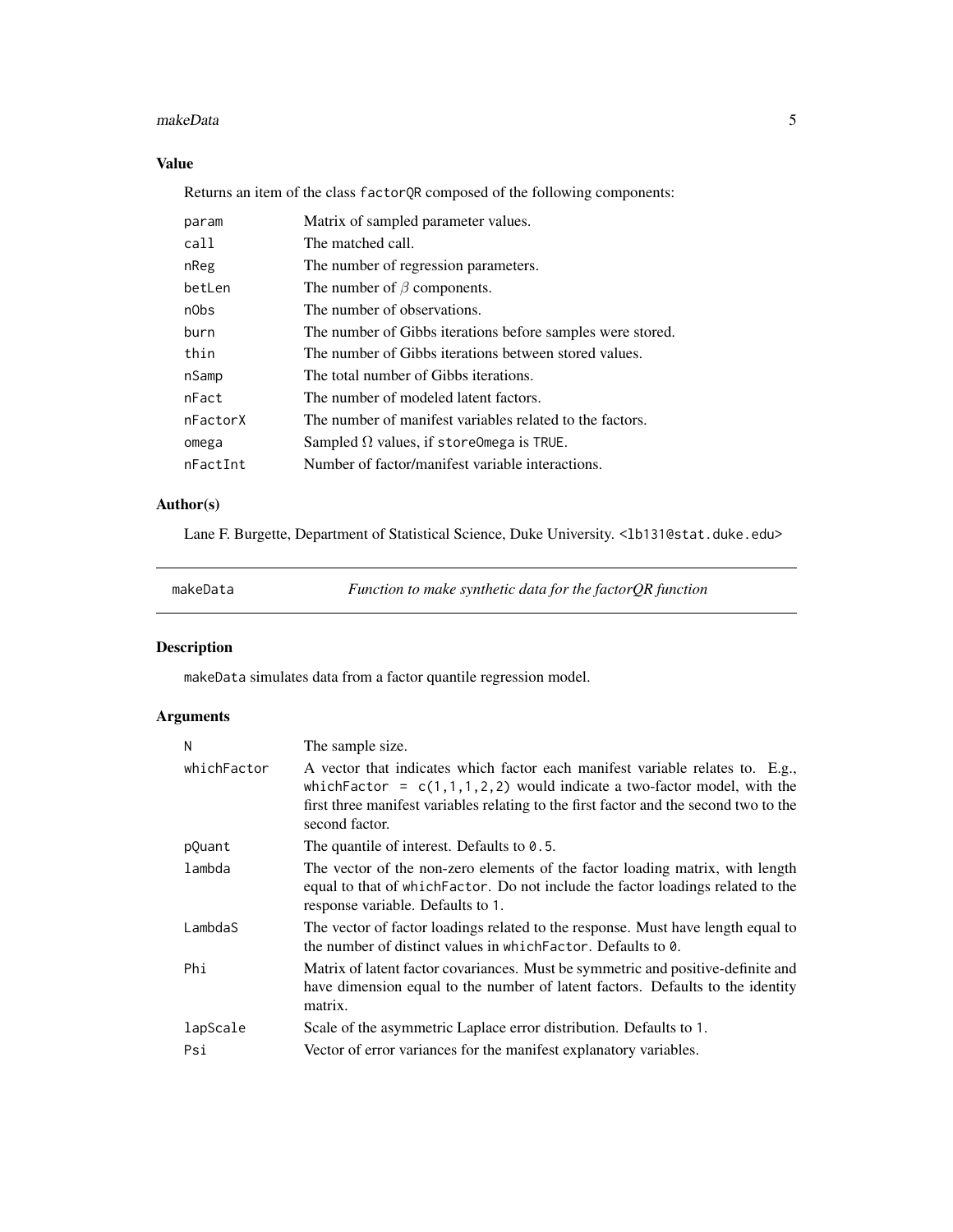#### <span id="page-4-0"></span>makeData 5

#### Value

Returns an item of the class factorQR composed of the following components:

| param    | Matrix of sampled parameter values.                        |
|----------|------------------------------------------------------------|
| call     | The matched call.                                          |
| nReg     | The number of regression parameters.                       |
| betLen   | The number of $\beta$ components.                          |
| n0bs     | The number of observations.                                |
| burn     | The number of Gibbs iterations before samples were stored. |
| thin     | The number of Gibbs iterations between stored values.      |
| nSamp    | The total number of Gibbs iterations.                      |
| nFact    | The number of modeled latent factors.                      |
| nFactorX | The number of manifest variables related to the factors.   |
| omega    | Sampled $\Omega$ values, if store Omega is TRUE.           |
| nFactInt | Number of factor/manifest variable interactions.           |

#### Author(s)

Lane F. Burgette, Department of Statistical Science, Duke University. <1b131@stat.duke.edu>

makeData *Function to make synthetic data for the factorQR function*

#### Description

makeData simulates data from a factor quantile regression model.

#### Arguments

| N           | The sample size.                                                                                                                                                                                                                                                      |
|-------------|-----------------------------------------------------------------------------------------------------------------------------------------------------------------------------------------------------------------------------------------------------------------------|
| whichFactor | A vector that indicates which factor each manifest variable relates to. E.g.,<br>which Factor = $c(1,1,1,2,2)$ would indicate a two-factor model, with the<br>first three manifest variables relating to the first factor and the second two to the<br>second factor. |
| pQuant      | The quantile of interest. Defaults to $0.5$ .                                                                                                                                                                                                                         |
| lambda      | The vector of the non-zero elements of the factor loading matrix, with length<br>equal to that of which Factor. Do not include the factor loadings related to the<br>response variable. Defaults to 1.                                                                |
| LambdaS     | The vector of factor loadings related to the response. Must have length equal to<br>the number of distinct values in which Factor. Defaults to 0.                                                                                                                     |
| Phi         | Matrix of latent factor covariances. Must be symmetric and positive-definite and<br>have dimension equal to the number of latent factors. Defaults to the identity<br>matrix.                                                                                         |
| lapScale    | Scale of the asymmetric Laplace error distribution. Defaults to 1.                                                                                                                                                                                                    |
| Psi         | Vector of error variances for the manifest explanatory variables.                                                                                                                                                                                                     |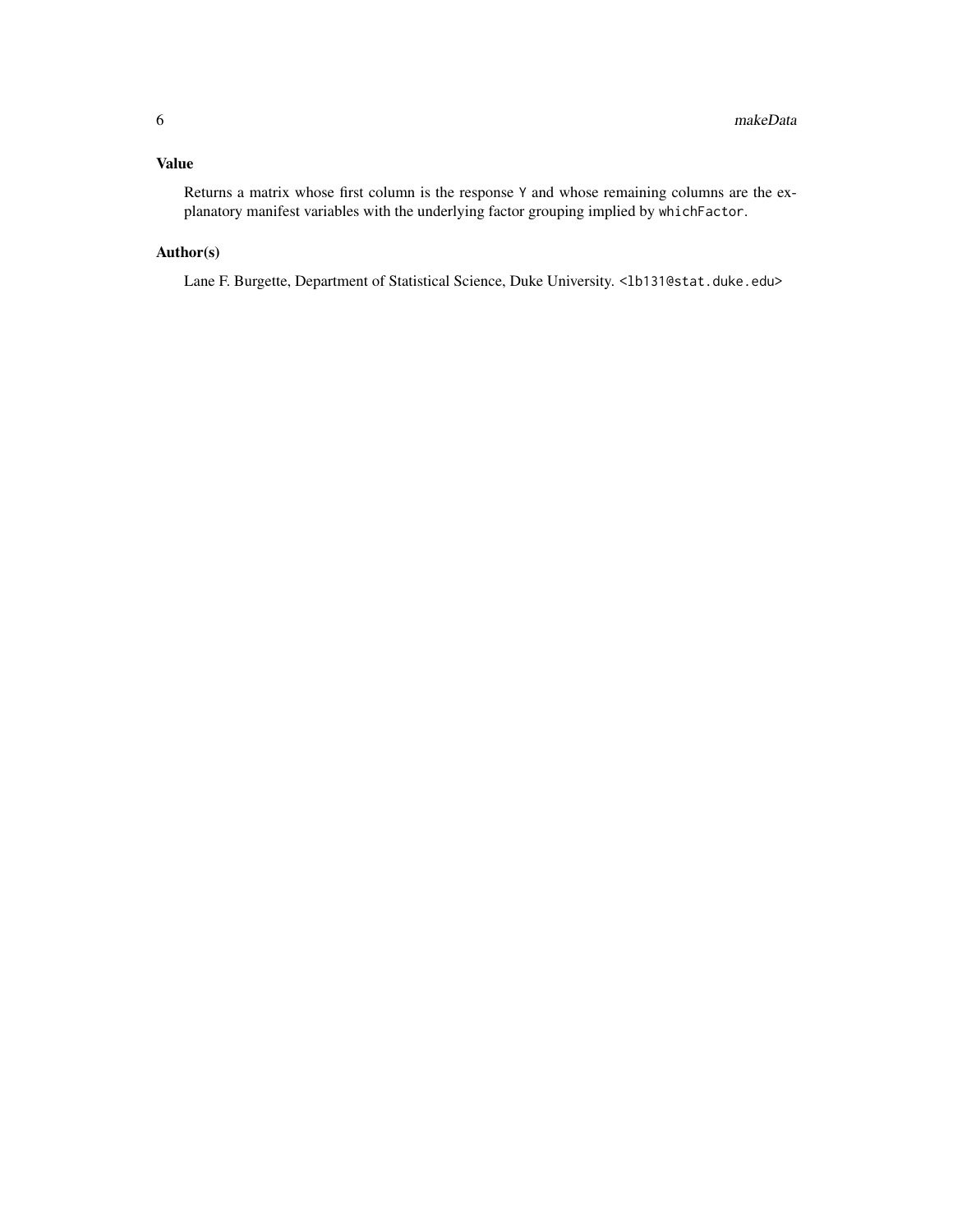#### Value

Returns a matrix whose first column is the response Y and whose remaining columns are the explanatory manifest variables with the underlying factor grouping implied by whichFactor.

#### Author(s)

Lane F. Burgette, Department of Statistical Science, Duke University. <lb131@stat.duke.edu>